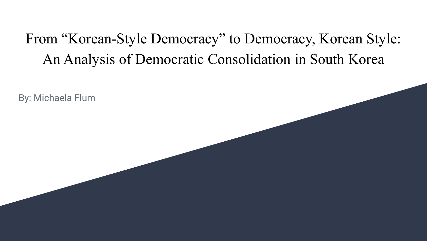### From "Korean-Style Democracy" to Democracy, Korean Style: An Analysis of Democratic Consolidation in South Korea

By: Michaela Flum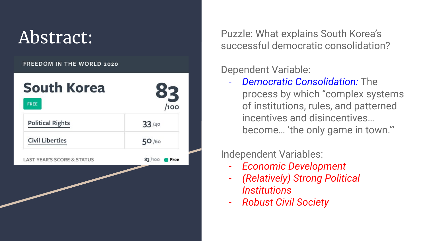### **FREEDOM IN THE WORLD 2020**

| <b>South Korea</b><br><b>FREE</b>     | 100            |
|---------------------------------------|----------------|
| <b>Political Rights</b>               | 33/40          |
| <b>Civil Liberties</b>                | 50/60          |
| <b>LAST YEAR'S SCORE &amp; STATUS</b> | 83/100<br>Free |

Abstract: Puzzle: What explains South Korea's successful democratic consolidation?

### Dependent Variable:

- *Democratic Consolidation:* The process by which "complex systems of institutions, rules, and patterned incentives and disincentives… become… 'the only game in town.'"

### Independent Variables:

- *- Economic Development*
- *- (Relatively) Strong Political Institutions*
- *- Robust Civil Society*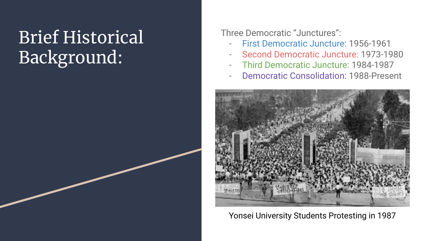# Brief Historical Background:

Three Democratic "Junctures":

- First Democratic Juncture: 1956-1961
- Second Democratic Juncture: 1973-1980
- Third Democratic Juncture: 1984-1987
- Democratic Consolidation: 1988-Present



Yonsei University Students Protesting in 1987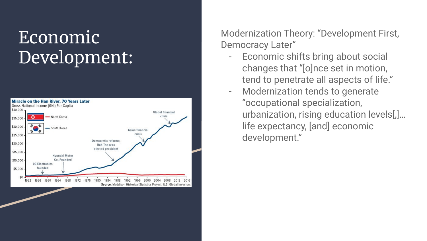# Economic Development:



Modernization Theory: "Development First, Democracy Later"

- Economic shifts bring about social changes that "[o]nce set in motion, tend to penetrate all aspects of life."
	- Modernization tends to generate "occupational specialization, urbanization, rising education levels[J... life expectancy, [and] economic development."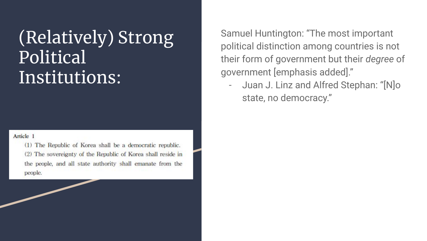## (Relatively) Strong Political Institutions:

### Article 1

(1) The Republic of Korea shall be a democratic republic. (2) The sovereignty of the Republic of Korea shall reside in the people, and all state authority shall emanate from the people.

Samuel Huntington: "The most important political distinction among countries is not their form of government but their *degree* of government [emphasis added]."

- Juan J. Linz and Alfred Stephan: "[N]o state, no democracy."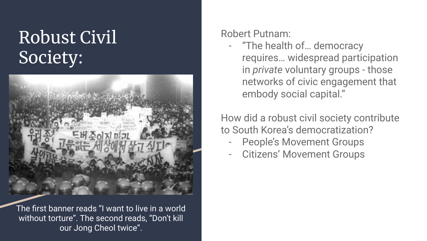## Robust Civil Society:



The first banner reads "I want to live in a world without torture". The second reads, "Don't kill our Jong Cheol twice".

### Robert Putnam:

- "The health of… democracy requires… widespread participation in *private* voluntary groups - those networks of civic engagement that embody social capital."

How did a robust civil society contribute to South Korea's democratization?

- People's Movement Groups
- Citizens' Movement Groups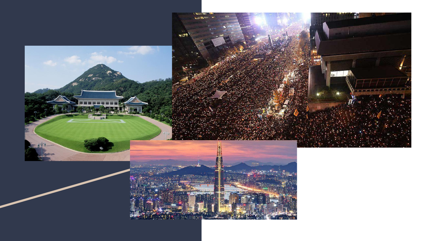